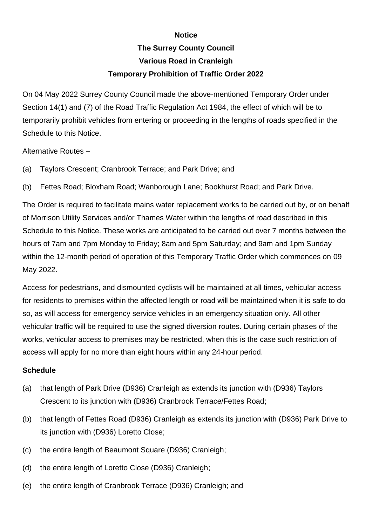## **Notice**

## **The Surrey County Council Various Road in Cranleigh Temporary Prohibition of Traffic Order 2022**

On 04 May 2022 Surrey County Council made the above-mentioned Temporary Order under Section 14(1) and (7) of the Road Traffic Regulation Act 1984, the effect of which will be to temporarily prohibit vehicles from entering or proceeding in the lengths of roads specified in the Schedule to this Notice.

Alternative Routes –

- (a) Taylors Crescent; Cranbrook Terrace; and Park Drive; and
- (b) Fettes Road; Bloxham Road; Wanborough Lane; Bookhurst Road; and Park Drive.

The Order is required to facilitate mains water replacement works to be carried out by, or on behalf of Morrison Utility Services and/or Thames Water within the lengths of road described in this Schedule to this Notice. These works are anticipated to be carried out over 7 months between the hours of 7am and 7pm Monday to Friday; 8am and 5pm Saturday; and 9am and 1pm Sunday within the 12-month period of operation of this Temporary Traffic Order which commences on 09 May 2022.

Access for pedestrians, and dismounted cyclists will be maintained at all times, vehicular access for residents to premises within the affected length or road will be maintained when it is safe to do so, as will access for emergency service vehicles in an emergency situation only. All other vehicular traffic will be required to use the signed diversion routes. During certain phases of the works, vehicular access to premises may be restricted, when this is the case such restriction of access will apply for no more than eight hours within any 24-hour period.

## **Schedule**

- (a) that length of Park Drive (D936) Cranleigh as extends its junction with (D936) Taylors Crescent to its junction with (D936) Cranbrook Terrace/Fettes Road;
- (b) that length of Fettes Road (D936) Cranleigh as extends its junction with (D936) Park Drive to its junction with (D936) Loretto Close;
- (c) the entire length of Beaumont Square (D936) Cranleigh;
- (d) the entire length of Loretto Close (D936) Cranleigh;
- (e) the entire length of Cranbrook Terrace (D936) Cranleigh; and